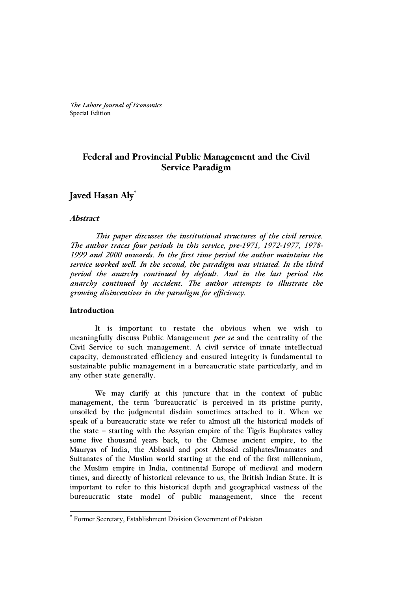*The Lahore Journal of Economics* Special Edition

# **Federal and Provincial Public Management and the Civil Service Paradigm**

## **Javed Hasan Aly\***

#### **Abstract**

 *This paper discusses the institutional structures of the civil service. The author traces four periods in this service, pre-1971, 1972-1977, 1978- 1999 and 2000 onwards. In the first time period the author maintains the service worked well. In the second, the paradigm was vitiated. In the third period the anarchy continued by default. And in the last period the anarchy continued by accident. The author attempts to illustrate the growing disincentives in the paradigm for efficiency.* 

#### **Introduction**

 $\overline{a}$ 

It is important to restate the obvious when we wish to meaningfully discuss Public Management *per se* and the centrality of the Civil Service to such management. A civil service of innate intellectual capacity, demonstrated efficiency and ensured integrity is fundamental to sustainable public management in a bureaucratic state particularly, and in any other state generally.

We may clarify at this juncture that in the context of public management, the term 'bureaucratic' is perceived in its pristine purity, unsoiled by the judgmental disdain sometimes attached to it. When we speak of a bureaucratic state we refer to almost all the historical models of the state – starting with the Assyrian empire of the Tigris Euphrates valley some five thousand years back, to the Chinese ancient empire, to the Mauryas of India, the Abbasid and post Abbasid caliphates/Imamates and Sultanates of the Muslim world starting at the end of the first millennium, the Muslim empire in India, continental Europe of medieval and modern times, and directly of historical relevance to us, the British Indian State. It is important to refer to this historical depth and geographical vastness of the bureaucratic state model of public management, since the recent

<sup>\*</sup> Former Secretary, Establishment Division Government of Pakistan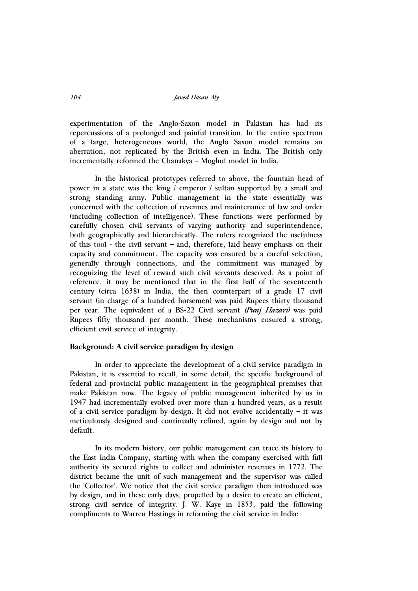*104 Javed Hasan Aly* 

experimentation of the Anglo-Saxon model in Pakistan has had its repercussions of a prolonged and painful transition. In the entire spectrum of a large, heterogeneous world, the Anglo Saxon model remains an aberration, not replicated by the British even in India. The British only incrementally reformed the Chanakya – Moghul model in India.

In the historical prototypes referred to above, the fountain head of power in a state was the king / emperor / sultan supported by a small and strong standing army. Public management in the state essentially was concerned with the collection of revenues and maintenance of law and order (including collection of intelligence). These functions were performed by carefully chosen civil servants of varying authority and superintendence, both geographically and hierarchically. The rulers recognized the usefulness of this tool - the civil servant – and, therefore, laid heavy emphasis on their capacity and commitment. The capacity was ensured by a careful selection, generally through connections, and the commitment was managed by recognizing the level of reward such civil servants deserved. As a point of reference, it may be mentioned that in the first half of the seventeenth century (circa 1638) in India, the then counterpart of a grade 17 civil servant (in charge of a hundred horsemen) was paid Rupees thirty thousand per year. The equivalent of a BS-22 Civil servant *(Punj Hazari)* was paid Rupees fifty thousand per month. These mechanisms ensured a strong, efficient civil service of integrity.

#### **Background: A civil service paradigm by design**

In order to appreciate the development of a civil service paradigm in Pakistan, it is essential to recall, in some detail, the specific background of federal and provincial public management in the geographical premises that make Pakistan now. The legacy of public management inherited by us in 1947 had incrementally evolved over more than a hundred years, as a result of a civil service paradigm by design. It did not evolve accidentally – it was meticulously designed and continually refined, again by design and not by default.

In its modern history, our public management can trace its history to the East India Company, starting with when the company exercised with full authority its secured rights to collect and administer revenues in 1772. The district became the unit of such management and the supervisor was called the 'Collector'. We notice that the civil service paradigm then introduced was by design, and in these early days, propelled by a desire to create an efficient, strong civil service of integrity. J. W. Kaye in 1853, paid the following compliments to Warren Hastings in reforming the civil service in India: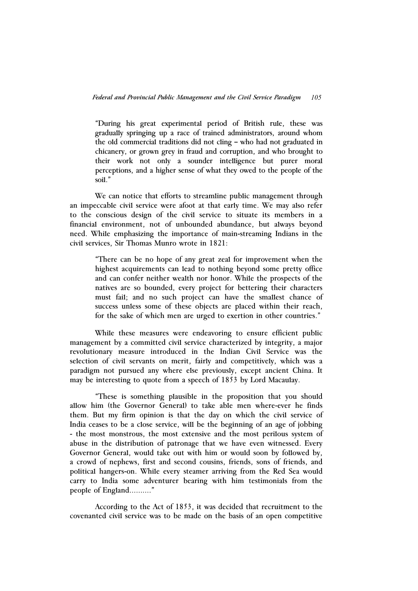"During his great experimental period of British rule, these was gradually springing up a race of trained administrators, around whom the old commercial traditions did not cling – who had not graduated in chicanery, or grown grey in fraud and corruption, and who brought to their work not only a sounder intelligence but purer moral perceptions, and a higher sense of what they owed to the people of the soil."

We can notice that efforts to streamline public management through an impeccable civil service were afoot at that early time. We may also refer to the conscious design of the civil service to situate its members in a financial environment, not of unbounded abundance, but always beyond need. While emphasizing the importance of main-streaming Indians in the civil services, Sir Thomas Munro wrote in 1821:

"There can be no hope of any great zeal for improvement when the highest acquirements can lead to nothing beyond some pretty office and can confer neither wealth nor honor. While the prospects of the natives are so bounded, every project for bettering their characters must fail; and no such project can have the smallest chance of success unless some of these objects are placed within their reach, for the sake of which men are urged to exertion in other countries."

While these measures were endeavoring to ensure efficient public management by a committed civil service characterized by integrity, a major revolutionary measure introduced in the Indian Civil Service was the selection of civil servants on merit, fairly and competitively, which was a paradigm not pursued any where else previously, except ancient China. It may be interesting to quote from a speech of 1853 by Lord Macaulay.

"These is something plausible in the proposition that you should allow him (the Governor General) to take able men where-ever he finds them. But my firm opinion is that the day on which the civil service of India ceases to be a close service, will be the beginning of an age of jobbing - the most monstrous, the most extensive and the most perilous system of abuse in the distribution of patronage that we have even witnessed. Every Governor General, would take out with him or would soon by followed by, a crowd of nephews, first and second cousins, friends, sons of friends, and political hangers-on. While every steamer arriving from the Red Sea would carry to India some adventurer bearing with him testimonials from the people of England………."

According to the Act of 1853, it was decided that recruitment to the covenanted civil service was to be made on the basis of an open competitive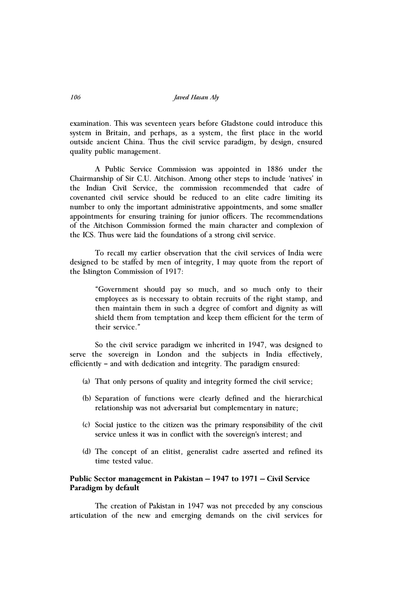examination. This was seventeen years before Gladstone could introduce this system in Britain, and perhaps, as a system, the first place in the world outside ancient China. Thus the civil service paradigm, by design, ensured quality public management.

A Public Service Commission was appointed in 1886 under the Chairmanship of Sir C.U. Aitchison. Among other steps to include 'natives' in the Indian Civil Service, the commission recommended that cadre of covenanted civil service should be reduced to an elite cadre limiting its number to only the important administrative appointments, and some smaller appointments for ensuring training for junior officers. The recommendations of the Aitchison Commission formed the main character and complexion of the ICS. Thus were laid the foundations of a strong civil service.

To recall my earlier observation that the civil services of India were designed to be staffed by men of integrity, I may quote from the report of the Islington Commission of 1917:

"Government should pay so much, and so much only to their employees as is necessary to obtain recruits of the right stamp, and then maintain them in such a degree of comfort and dignity as will shield them from temptation and keep them efficient for the term of their service."

So the civil service paradigm we inherited in 1947, was designed to serve the sovereign in London and the subjects in India effectively, efficiently – and with dedication and integrity. The paradigm ensured:

- (a) That only persons of quality and integrity formed the civil service;
- (b) Separation of functions were clearly defined and the hierarchical relationship was not adversarial but complementary in nature;
- (c) Social justice to the citizen was the primary responsibility of the civil service unless it was in conflict with the sovereign's interest; and
- (d) The concept of an elitist, generalist cadre asserted and refined its time tested value.

## **Public Sector management in Pakistan – 1947 to 1971 – Civil Service Paradigm by default**

The creation of Pakistan in 1947 was not preceded by any conscious articulation of the new and emerging demands on the civil services for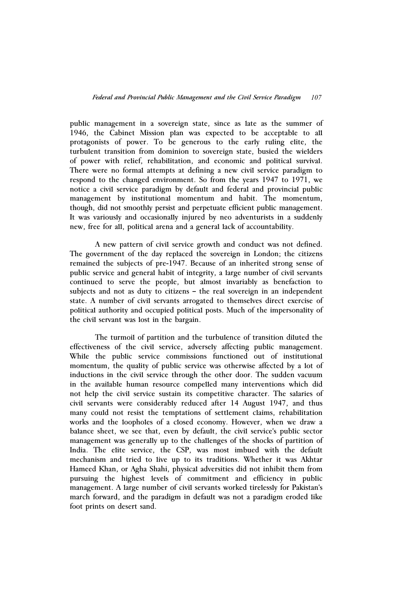public management in a sovereign state, since as late as the summer of 1946, the Cabinet Mission plan was expected to be acceptable to all protagonists of power. To be generous to the early ruling elite, the turbulent transition from dominion to sovereign state, busied the wielders of power with relief, rehabilitation, and economic and political survival. There were no formal attempts at defining a new civil service paradigm to respond to the changed environment. So from the years 1947 to 1971, we notice a civil service paradigm by default and federal and provincial public management by institutional momentum and habit. The momentum, though, did not smoothly persist and perpetuate efficient public management. It was variously and occasionally injured by neo adventurists in a suddenly new, free for all, political arena and a general lack of accountability.

A new pattern of civil service growth and conduct was not defined. The government of the day replaced the sovereign in London; the citizens remained the subjects of pre-1947. Because of an inherited strong sense of public service and general habit of integrity, a large number of civil servants continued to serve the people, but almost invariably as benefaction to subjects and not as duty to citizens – the real sovereign in an independent state. A number of civil servants arrogated to themselves direct exercise of political authority and occupied political posts. Much of the impersonality of the civil servant was lost in the bargain.

The turmoil of partition and the turbulence of transition diluted the effectiveness of the civil service, adversely affecting public management. While the public service commissions functioned out of institutional momentum, the quality of public service was otherwise affected by a lot of inductions in the civil service through the other door. The sudden vacuum in the available human resource compelled many interventions which did not help the civil service sustain its competitive character. The salaries of civil servants were considerably reduced after 14 August 1947, and thus many could not resist the temptations of settlement claims, rehabilitation works and the loopholes of a closed economy. However, when we draw a balance sheet, we see that, even by default, the civil service's public sector management was generally up to the challenges of the shocks of partition of India. The elite service, the CSP, was most imbued with the default mechanism and tried to live up to its traditions. Whether it was Akhtar Hameed Khan, or Agha Shahi, physical adversities did not inhibit them from pursuing the highest levels of commitment and efficiency in public management. A large number of civil servants worked tirelessly for Pakistan's march forward, and the paradigm in default was not a paradigm eroded like foot prints on desert sand.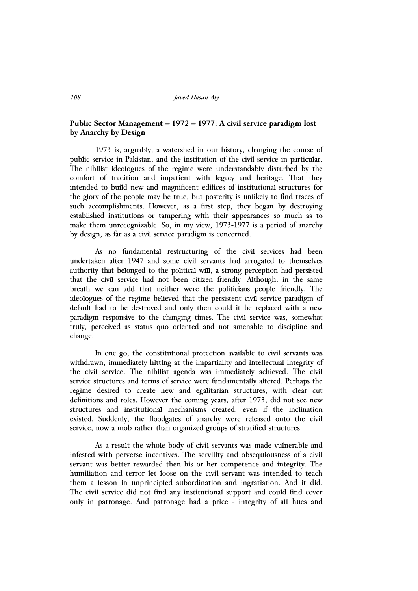*108 Javed Hasan Aly* 

## **Public Sector Management – 1972 – 1977: A civil service paradigm lost by Anarchy by Design**

1973 is, arguably, a watershed in our history, changing the course of public service in Pakistan, and the institution of the civil service in particular. The nihilist ideologues of the regime were understandably disturbed by the comfort of tradition and impatient with legacy and heritage. That they intended to build new and magnificent edifices of institutional structures for the glory of the people may be true, but posterity is unlikely to find traces of such accomplishments. However, as a first step, they began by destroying established institutions or tampering with their appearances so much as to make them unrecognizable. So, in my view, 1973-1977 is a period of anarchy by design, as far as a civil service paradigm is concerned.

As no fundamental restructuring of the civil services had been undertaken after 1947 and some civil servants had arrogated to themselves authority that belonged to the political will, a strong perception had persisted that the civil service had not been citizen friendly. Although, in the same breath we can add that neither were the politicians people friendly. The ideologues of the regime believed that the persistent civil service paradigm of default had to be destroyed and only then could it be replaced with a new paradigm responsive to the changing times. The civil service was, somewhat truly, perceived as status quo oriented and not amenable to discipline and change.

In one go, the constitutional protection available to civil servants was withdrawn, immediately hitting at the impartiality and intellectual integrity of the civil service. The nihilist agenda was immediately achieved. The civil service structures and terms of service were fundamentally altered. Perhaps the regime desired to create new and egalitarian structures, with clear cut definitions and roles. However the coming years, after 1973, did not see new structures and institutional mechanisms created, even if the inclination existed. Suddenly, the floodgates of anarchy were released onto the civil service, now a mob rather than organized groups of stratified structures.

As a result the whole body of civil servants was made vulnerable and infested with perverse incentives. The servility and obsequiousness of a civil servant was better rewarded then his or her competence and integrity. The humiliation and terror let loose on the civil servant was intended to teach them a lesson in unprincipled subordination and ingratiation. And it did. The civil service did not find any institutional support and could find cover only in patronage. And patronage had a price - integrity of all hues and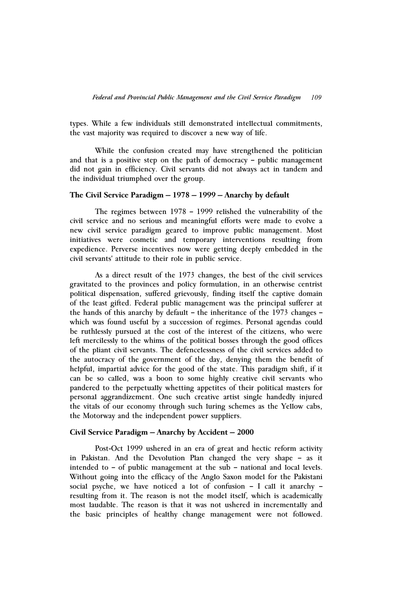types. While a few individuals still demonstrated intellectual commitments, the vast majority was required to discover a new way of life.

While the confusion created may have strengthened the politician and that is a positive step on the path of democracy – public management did not gain in efficiency. Civil servants did not always act in tandem and the individual triumphed over the group.

#### **The Civil Service Paradigm – 1978 – 1999 – Anarchy by default**

The regimes between 1978 – 1999 relished the vulnerability of the civil service and no serious and meaningful efforts were made to evolve a new civil service paradigm geared to improve public management. Most initiatives were cosmetic and temporary interventions resulting from expedience. Perverse incentives now were getting deeply embedded in the civil servants' attitude to their role in public service.

As a direct result of the 1973 changes, the best of the civil services gravitated to the provinces and policy formulation, in an otherwise centrist political dispensation, suffered grievously, finding itself the captive domain of the least gifted. Federal public management was the principal sufferer at the hands of this anarchy by default – the inheritance of the 1973 changes – which was found useful by a succession of regimes. Personal agendas could be ruthlessly pursued at the cost of the interest of the citizens, who were left mercilessly to the whims of the political bosses through the good offices of the pliant civil servants. The defencelessness of the civil services added to the autocracy of the government of the day, denying them the benefit of helpful, impartial advice for the good of the state. This paradigm shift, if it can be so called, was a boon to some highly creative civil servants who pandered to the perpetually whetting appetites of their political masters for personal aggrandizement. One such creative artist single handedly injured the vitals of our economy through such luring schemes as the Yellow cabs, the Motorway and the independent power suppliers.

## **Civil Service Paradigm – Anarchy by Accident – 2000**

Post-Oct 1999 ushered in an era of great and hectic reform activity in Pakistan. And the Devolution Plan changed the very shape – as it intended to – of public management at the sub – national and local levels. Without going into the efficacy of the Anglo Saxon model for the Pakistani social psyche, we have noticed a lot of confusion – I call it anarchy – resulting from it. The reason is not the model itself, which is academically most laudable. The reason is that it was not ushered in incrementally and the basic principles of healthy change management were not followed.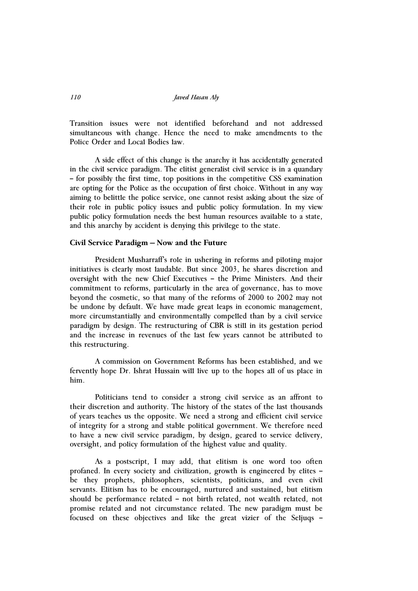*110 Javed Hasan Aly* 

Transition issues were not identified beforehand and not addressed simultaneous with change. Hence the need to make amendments to the Police Order and Local Bodies law.

A side effect of this change is the anarchy it has accidentally generated in the civil service paradigm. The elitist generalist civil service is in a quandary – for possibly the first time, top positions in the competitive CSS examination are opting for the Police as the occupation of first choice. Without in any way aiming to belittle the police service, one cannot resist asking about the size of their role in public policy issues and public policy formulation. In my view public policy formulation needs the best human resources available to a state, and this anarchy by accident is denying this privilege to the state.

## **Civil Service Paradigm – Now and the Future**

President Musharraff's role in ushering in reforms and piloting major initiatives is clearly most laudable. But since 2003, he shares discretion and oversight with the new Chief Executives – the Prime Ministers. And their commitment to reforms, particularly in the area of governance, has to move beyond the cosmetic, so that many of the reforms of 2000 to 2002 may not be undone by default. We have made great leaps in economic management, more circumstantially and environmentally compelled than by a civil service paradigm by design. The restructuring of CBR is still in its gestation period and the increase in revenues of the last few years cannot be attributed to this restructuring.

A commission on Government Reforms has been established, and we fervently hope Dr. Ishrat Hussain will live up to the hopes all of us place in him.

Politicians tend to consider a strong civil service as an affront to their discretion and authority. The history of the states of the last thousands of years teaches us the opposite. We need a strong and efficient civil service of integrity for a strong and stable political government. We therefore need to have a new civil service paradigm, by design, geared to service delivery, oversight, and policy formulation of the highest value and quality.

As a postscript, I may add, that elitism is one word too often profaned. In every society and civilization, growth is engineered by elites – be they prophets, philosophers, scientists, politicians, and even civil servants. Elitism has to be encouraged, nurtured and sustained, but elitism should be performance related – not birth related, not wealth related, not promise related and not circumstance related. The new paradigm must be focused on these objectives and like the great vizier of the Seljuqs –